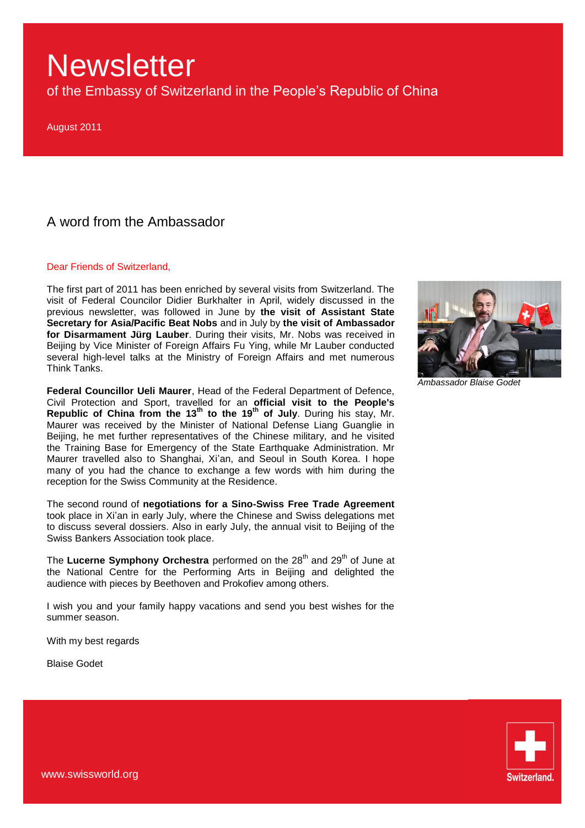of the Embassy of Switzerland in the People's Republic of China

August 2011

### A word from the Ambassador

#### Dear Friends of Switzerland,

The first part of 2011 has been enriched by several visits from Switzerland. The visit of Federal Councilor Didier Burkhalter in April, widely discussed in the previous newsletter, was followed in June by **the visit of Assistant State Secretary for Asia/Pacific Beat Nobs** and in July by **the visit of Ambassador for Disarmament Jürg Lauber**. During their visits, Mr. Nobs was received in Beijing by Vice Minister of Foreign Affairs Fu Ying, while Mr Lauber conducted several high-level talks at the Ministry of Foreign Affairs and met numerous Think Tanks.

**Federal Councillor Ueli Maurer**, Head of the Federal Department of Defence, Civil Protection and Sport, travelled for an **official visit to the People's Republic of China from the 13th to the 19th of July**. During his stay, Mr. Maurer was received by the Minister of National Defense Liang Guanglie in Beijing, he met further representatives of the Chinese military, and he visited the Training Base for Emergency of the State Earthquake Administration. Mr Maurer travelled also to Shanghai, Xi'an, and Seoul in South Korea. I hope many of you had the chance to exchange a few words with him during the reception for the Swiss Community at the Residence.

The second round of **negotiations for a Sino-Swiss Free Trade Agreement** took place in Xi'an in early July, where the Chinese and Swiss delegations met to discuss several dossiers. Also in early July, the annual visit to Beijing of the Swiss Bankers Association took place.

The Lucerne Symphony Orchestra performed on the 28<sup>th</sup> and 29<sup>th</sup> of June at the National Centre for the Performing Arts in Beijing and delighted the audience with pieces by Beethoven and Prokofiev among others.

I wish you and your family happy vacations and send you best wishes for the summer season.

With my best regards

Blaise Godet



*Ambassador Blaise Godet*

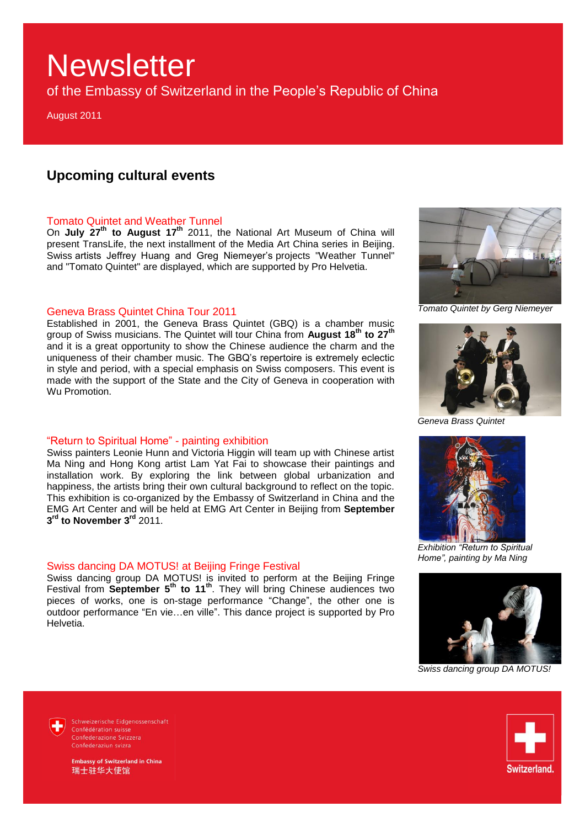of the Embassy of Switzerland in the People's Republic of China

August 2011

### **Upcoming cultural events**

### Tomato Quintet and Weather Tunnel

On **July 27th to August 17th** 2011, the National Art Museum of China will present TransLife, the next installment of the Media Art China series in Beijing. Swiss artists Jeffrey Huang and Greg Niemeyer's projects "Weather Tunnel" and "Tomato Quintet" are displayed, which are supported by Pro Helvetia.

### Geneva Brass Quintet China Tour 2011

Established in 2001, the Geneva Brass Quintet (GBQ) is a chamber music group of Swiss musicians. The Quintet will tour China from **August 18th to 27th** and it is a great opportunity to show the Chinese audience the charm and the uniqueness of their chamber music. The GBQ's repertoire is extremely eclectic in style and period, with a special emphasis on Swiss composers. This event is made with the support of the State and the City of Geneva in cooperation with Wu Promotion.

### "Return to Spiritual Home" - painting exhibition

Swiss painters Leonie Hunn and Victoria Higgin will team up with Chinese artist Ma Ning and Hong Kong artist Lam Yat Fai to showcase their paintings and installation work. By exploring the link between global urbanization and happiness, the artists bring their own cultural background to reflect on the topic. This exhibition is co-organized by the Embassy of Switzerland in China and the EMG Art Center and will be held at EMG Art Center in Beijing from **September 3 rd to November 3rd** 2011.

### Swiss dancing DA MOTUS! at Beijing Fringe Festival

Swiss dancing group DA MOTUS! is invited to perform at the Beijing Fringe Festival from **September 5<sup>th</sup> to 11<sup>th</sup>**. They will bring Chinese audiences two pieces of works, one is on-stage performance "Change", the other one is outdoor performance "En vie…en ville". This dance project is supported by Pro Helvetia.



*Tomato Quintet by Gerg Niemeyer*



*Geneva Brass Quintet*



*Exhibition "Return to Spiritual Home", painting by Ma Ning*



*Swiss dancing group DA MOTUS!*



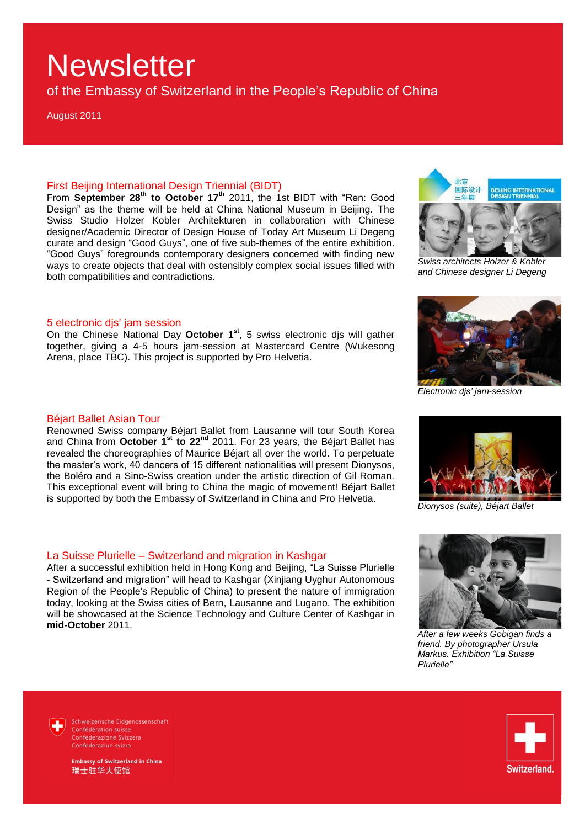of the Embassy of Switzerland in the People's Republic of China

August 2011

### First Beijing International Design Triennial (BIDT)

From **September 28th to October 17th** 2011, the 1st BIDT with "Ren: Good Design" as the theme will be held at China National Museum in Beijing. The Swiss Studio Holzer Kobler Architekturen in collaboration with Chinese designer/Academic Director of Design House of Today Art Museum Li Degeng curate and design "Good Guys", one of five sub-themes of the entire exhibition. "Good Guys" foregrounds contemporary designers concerned with finding new ways to create objects that deal with ostensibly complex social issues filled with both compatibilities and contradictions.



*Swiss architects Holzer & Kobler and Chinese designer Li Degeng*

#### 5 electronic djs' jam session

On the Chinese National Day **October 1st**, 5 swiss electronic djs will gather together, giving a 4-5 hours jam-session at Mastercard Centre (Wukesong Arena, place TBC). This project is supported by Pro Helvetia.

#### Béjart Ballet Asian Tour

Renowned Swiss company Béjart Ballet from Lausanne will tour South Korea and China from **October 1st to 22nd** 2011. For 23 years, the Béjart Ballet has revealed the choreographies of Maurice Béjart all over the world. To perpetuate the master's work, 40 dancers of 15 different nationalities will present Dionysos, the Boléro and a Sino-Swiss creation under the artistic direction of Gil Roman. This exceptional event will bring to China the magic of movement! Béjart Ballet is supported by both the Embassy of Switzerland in China and Pro Helvetia.

#### La Suisse Plurielle – Switzerland and migration in Kashgar

After a successful exhibition held in Hong Kong and Beijing, "La Suisse Plurielle - Switzerland and migration" will head to Kashgar (Xinjiang Uyghur Autonomous Region of the People's Republic of China) to present the nature of immigration today, looking at the Swiss cities of Bern, Lausanne and Lugano. The exhibition will be showcased at the Science Technology and Culture Center of Kashgar in **mid-October** 2011.



*Dionysos (suite), Béjart Ballet* 

*Electronic djs' jam-session*



*After a few weeks Gobigan finds a friend. By photographer Ursula Markus. Exhibition "La Suisse Plurielle"*

Schweizerische Eidgenossenschaft Confédération suisse Confederazione Svizzera Confederaziun svizra

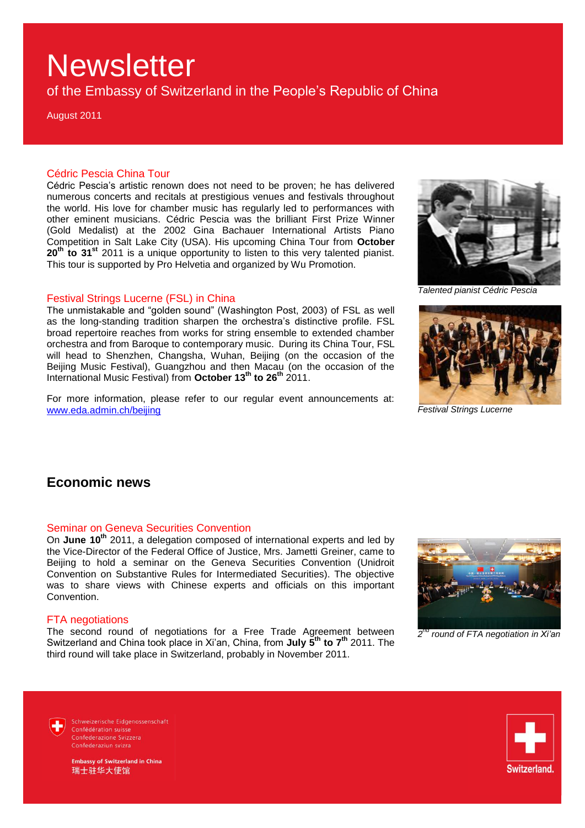of the Embassy of Switzerland in the People's Republic of China

August 2011

### Cédric Pescia China Tour

Cédric Pescia's artistic renown does not need to be proven; he has delivered numerous concerts and recitals at prestigious venues and festivals throughout the world. His love for chamber music has regularly led to performances with other eminent musicians. Cédric Pescia was the brilliant First Prize Winner (Gold Medalist) at the 2002 Gina Bachauer International Artists Piano Competition in Salt Lake City (USA). His upcoming China Tour from **October 20th to 31st** 2011 is a unique opportunity to listen to this very talented pianist. This tour is supported by Pro Helvetia and organized by Wu Promotion.

### Festival Strings Lucerne (FSL) in China

The unmistakable and "golden sound" (Washington Post, 2003) of FSL as well as the long-standing tradition sharpen the orchestra's distinctive profile. FSL broad repertoire reaches from works for string ensemble to extended chamber orchestra and from Baroque to contemporary music. During its China Tour, FSL will head to Shenzhen, Changsha, Wuhan, Beijing (on the occasion of the Beijing Music Festival), Guangzhou and then Macau (on the occasion of the International Music Festival) from **October 13th to 26th** 2011.

For more information, please refer to our regular event announcements at: [www.eda.admin.ch/beijing](http://www.eda.admin.ch/beijing)



*Talented pianist Cédric Pescia* 



*Festival Strings Lucerne*

### **Economic news**

### Seminar on Geneva Securities Convention

On **June 10th** 2011, a delegation composed of international experts and led by the Vice-Director of the Federal Office of Justice, Mrs. Jametti Greiner, came to Beijing to hold a seminar on the Geneva Securities Convention (Unidroit Convention on Substantive Rules for Intermediated Securities). The objective was to share views with Chinese experts and officials on this important Convention.

### FTA negotiations

The second round of negotiations for a Free Trade Agreement between Switzerland and China took place in Xi'an, China, from **July 5th to 7th** 2011. The third round will take place in Switzerland, probably in November 2011.



*2 nd round of FTA negotiation in Xi'an*

Schweizerische Eidgenossenschaft Confédération suisse Confederazione Svizzera Confederaziun svizra

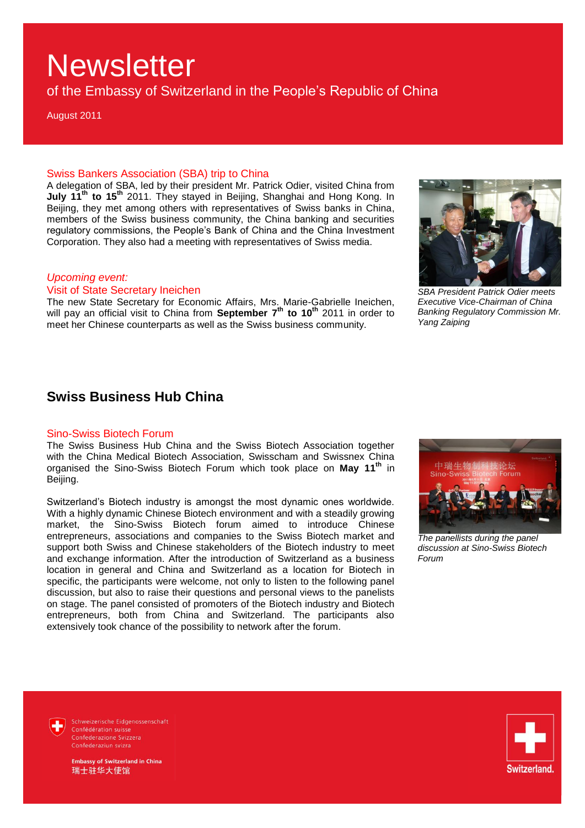of the Embassy of Switzerland in the People's Republic of China

August 2011

### Swiss Bankers Association (SBA) trip to China

A delegation of SBA, led by their president Mr. Patrick Odier, visited China from **July 11th to 15th** 2011. They stayed in Beijing, Shanghai and Hong Kong. In Beijing, they met among others with representatives of Swiss banks in China, members of the Swiss business community, the China banking and securities regulatory commissions, the People's Bank of China and the China Investment Corporation. They also had a meeting with representatives of Swiss media.

### *Upcoming event:*

Visit of State Secretary Ineichen

The new State Secretary for Economic Affairs, Mrs. Marie-Gabrielle Ineichen, will pay an official visit to China from **September 7th to 10th** 2011 in order to meet her Chinese counterparts as well as the Swiss business community.



*SBA President Patrick Odier meets Executive Vice-Chairman of China Banking Regulatory Commission Mr. Yang Zaiping*

### **Swiss Business Hub China**

#### Sino-Swiss Biotech Forum

The Swiss Business Hub China and the Swiss Biotech Association together with the China Medical Biotech Association, Swisscham and Swissnex China organised the Sino-Swiss Biotech Forum which took place on **May 11th** in Beijing.

Switzerland's Biotech industry is amongst the most dynamic ones worldwide. With a highly dynamic Chinese Biotech environment and with a steadily growing market, the Sino-Swiss Biotech forum aimed to introduce Chinese entrepreneurs, associations and companies to the Swiss Biotech market and support both Swiss and Chinese stakeholders of the Biotech industry to meet and exchange information. After the introduction of Switzerland as a business location in general and China and Switzerland as a location for Biotech in specific, the participants were welcome, not only to listen to the following panel discussion, but also to raise their questions and personal views to the panelists on stage. The panel consisted of promoters of the Biotech industry and Biotech entrepreneurs, both from China and Switzerland. The participants also extensively took chance of the possibility to network after the forum.



*The panellists during the panel discussion at Sino-Swiss Biotech Forum*

Schweizerische Eidgenossenschaft Confédération suisse Confederazione Svizzera Confederaziun svizra

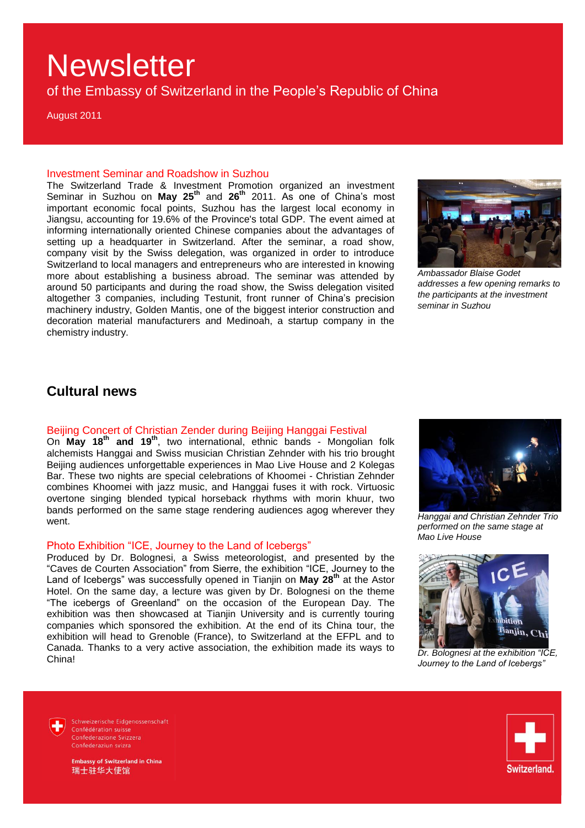of the Embassy of Switzerland in the People's Republic of China

August 2011

#### Investment Seminar and Roadshow in Suzhou

The Switzerland Trade & Investment Promotion organized an investment Seminar in Suzhou on **May 25th** and **26th** 2011. As one of China's most important economic focal points, Suzhou has the largest local economy in Jiangsu, accounting for 19.6% of the Province's total GDP. The event aimed at informing internationally oriented Chinese companies about the advantages of setting up a headquarter in Switzerland. After the seminar, a road show, company visit by the Swiss delegation, was organized in order to introduce Switzerland to local managers and entrepreneurs who are interested in knowing more about establishing a business abroad. The seminar was attended by around 50 participants and during the road show, the Swiss delegation visited altogether 3 companies, including Testunit, front runner of China's precision machinery industry, Golden Mantis, one of the biggest interior construction and decoration material manufacturers and Medinoah, a startup company in the chemistry industry.



*Ambassador Blaise Godet addresses a few opening remarks to the participants at the investment seminar in Suzhou*

### **Cultural news**

### Beijing Concert of Christian Zender during Beijing Hanggai Festival

On **May 18th and 19th** , two international, ethnic bands - Mongolian folk alchemists Hanggai and Swiss musician Christian Zehnder with his trio brought Beijing audiences unforgettable experiences in Mao Live House and 2 Kolegas Bar. These two nights are special celebrations of Khoomei - Christian Zehnder combines Khoomei with jazz music, and Hanggai fuses it with rock. Virtuosic overtone singing blended typical horseback rhythms with morin khuur, two bands performed on the same stage rendering audiences agog wherever they went.

### Photo Exhibition "ICE, Journey to the Land of Icebergs"

Produced by Dr. Bolognesi, a Swiss meteorologist, and presented by the "Caves de Courten Association" from Sierre, the exhibition "ICE, Journey to the Land of Icebergs" was successfully opened in Tianjin on **May 28th** at the Astor Hotel. On the same day, a lecture was given by Dr. Bolognesi on the theme "The icebergs of Greenland" on the occasion of the European Day. The exhibition was then showcased at Tianjin University and is currently touring companies which sponsored the exhibition. At the end of its China tour, the exhibition will head to Grenoble (France), to Switzerland at the EFPL and to Canada. Thanks to a very active association, the exhibition made its ways to China!



*Hanggai and Christian Zehnder Trio performed on the same stage at Mao Live House*



*Dr. Bolognesi at the exhibition "ICE, Journey to the Land of Icebergs"*

Schweizerische Eidgenossenschaft Confédération suisse Confederazione Svizzera Confederaziun svizra

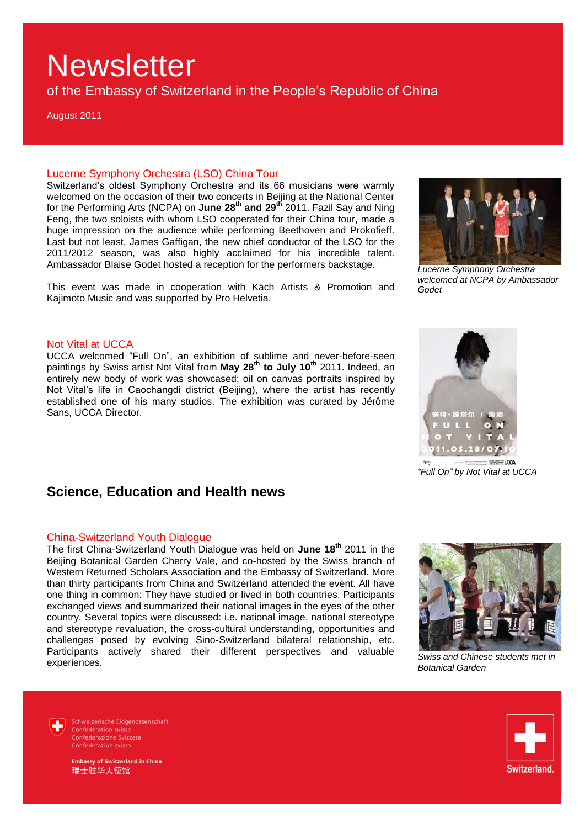of the Embassy of Switzerland in the People's Republic of China

August 2011

### Lucerne Symphony Orchestra (LSO) China Tour

Switzerland's oldest Symphony Orchestra and its 66 musicians were warmly welcomed on the occasion of their two concerts in Beijing at the National Center for the Performing Arts (NCPA) on **June 28th and 29th** 2011. Fazil Say and Ning Feng, the two soloists with whom LSO cooperated for their China tour, made a huge impression on the audience while performing Beethoven and Prokofieff. Last but not least, James Gaffigan, the new chief conductor of the LSO for the 2011/2012 season, was also highly acclaimed for his incredible talent. Ambassador Blaise Godet hosted a reception for the performers backstage.

This event was made in cooperation with Käch Artists & Promotion and Kajimoto Music and was supported by Pro Helvetia.



*Lucerne Symphony Orchestra welcomed at NCPA by Ambassador Godet*

### Not Vital at UCCA

UCCA welcomed "Full On", an exhibition of sublime and never-before-seen paintings by Swiss artist Not Vital from **May 28th to July 10th** 2011. Indeed, an entirely new body of work was showcased; oil on canvas portraits inspired by Not Vital's life in Caochangdi district (Beijing), where the artist has recently established one of his many studios. The exhibition was curated by Jérôme Sans, UCCA Director.



*"Full On" by Not Vital at UCCA*

### **Science, Education and Health news**

#### China-Switzerland Youth Dialogue

The first China-Switzerland Youth Dialogue was held on **June 18th** 2011 in the Beijing Botanical Garden Cherry Vale, and co-hosted by the Swiss branch of Western Returned Scholars Association and the Embassy of Switzerland. More than thirty participants from China and Switzerland attended the event. All have one thing in common: They have studied or lived in both countries. Participants exchanged views and summarized their national images in the eyes of the other country. Several topics were discussed: i.e. national image, national stereotype and stereotype revaluation, the cross-cultural understanding, opportunities and challenges posed by evolving Sino-Switzerland bilateral relationship, etc. Participants actively shared their different perspectives and valuable experiences.



*Swiss and Chinese students met in Botanical Garden*

Schweizerische Eidgenossenschaft Confédération suisse Confederazione Svizzera Confederaziun svizra



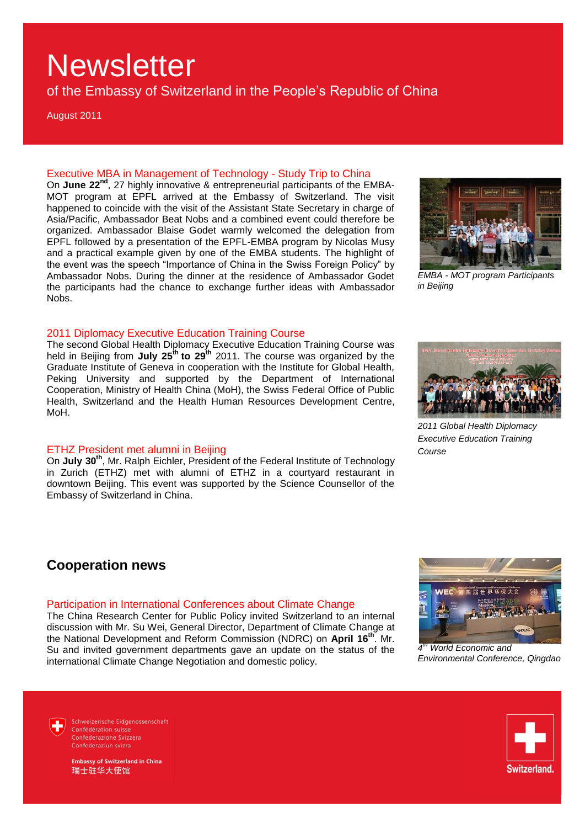of the Embassy of Switzerland in the People's Republic of China

August 2011

### Executive MBA in Management of Technology - Study Trip to China

On **June 22nd** , 27 highly innovative & entrepreneurial participants of the EMBA-MOT program at EPFL arrived at the Embassy of Switzerland. The visit happened to coincide with the visit of the Assistant State Secretary in charge of Asia/Pacific, Ambassador Beat Nobs and a combined event could therefore be organized. Ambassador Blaise Godet warmly welcomed the delegation from EPFL followed by a presentation of the EPFL-EMBA program by Nicolas Musy and a practical example given by one of the EMBA students. The highlight of the event was the speech "Importance of China in the Swiss Foreign Policy" by Ambassador Nobs. During the dinner at the residence of Ambassador Godet the participants had the chance to exchange further ideas with Ambassador Nobs.



*EMBA - MOT program Participants in Beijing*

#### 2011 Diplomacy Executive Education Training Course

The second Global Health Diplomacy Executive Education Training Course was held in Beijing from **July 25th to 29th** 2011. The course was organized by the Graduate Institute of Geneva in cooperation with the Institute for Global Health, Peking University and supported by the Department of International Cooperation, Ministry of Health China (MoH), the Swiss Federal Office of Public Health, Switzerland and the Health Human Resources Development Centre, MoH.

### ETHZ President met alumni in Beijing

On July 30<sup>th</sup>, Mr. Ralph Eichler, President of the Federal Institute of Technology in Zurich (ETHZ) met with alumni of ETHZ in a courtyard restaurant in downtown Beijing. This event was supported by the Science Counsellor of the Embassy of Switzerland in China.

# *2011 Global Health Diplomacy*

*Executive Education Training Course*

### **Cooperation news**

#### Participation in International Conferences about Climate Change

The China Research Center for Public Policy invited Switzerland to an internal discussion with Mr. Su Wei, General Director, Department of Climate Change at the National Development and Reform Commission (NDRC) on **April 16th** . Mr. Su and invited government departments gave an update on the status of the international Climate Change Negotiation and domestic policy.



*4 th World Economic and Environmental Conference, Qingdao*

Schweizerische Eidgenossenschaft Confédération suisse Confederazione Svizzera Confederaziun svizra



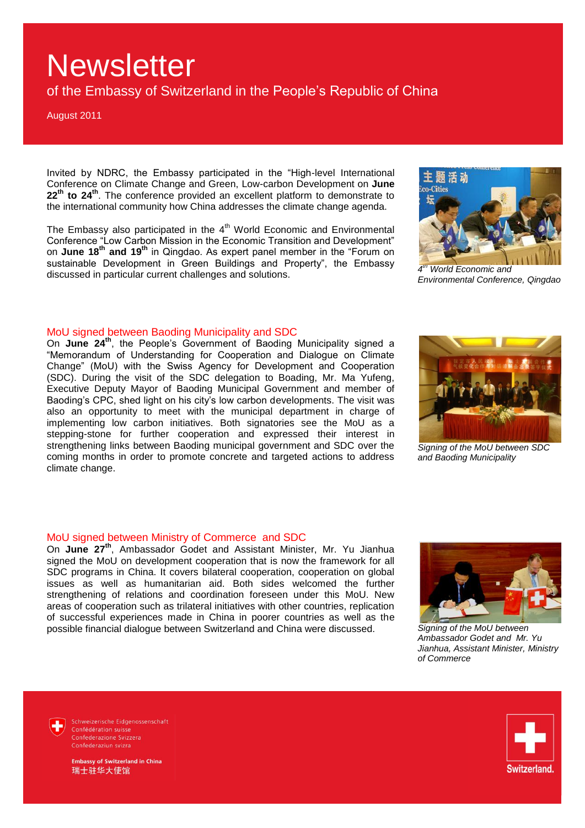of the Embassy of Switzerland in the People's Republic of China

August 2011

Invited by NDRC, the Embassy participated in the "High-level International Conference on Climate Change and Green, Low-carbon Development on **June 22th to 24th**. The conference provided an excellent platform to demonstrate to the international community how China addresses the climate change agenda.

The Embassy also participated in the 4<sup>th</sup> World Economic and Environmental Conference "Low Carbon Mission in the Economic Transition and Development" on **June 18th and 19th** in Qingdao. As expert panel member in the "Forum on sustainable Development in Green Buildings and Property", the Embassy discussed in particular current challenges and solutions.



*4 [th](http://www.wec-wec.net/newsMedia2.aspx?new_id=282) World Economic and Environmental Conference, Qingdao*

#### MoU signed between Baoding Municipality and SDC

On **June 24th**, the People's Government of Baoding Municipality signed a "Memorandum of Understanding for Cooperation and Dialogue on Climate Change" (MoU) with the Swiss Agency for Development and Cooperation (SDC). During the visit of the SDC delegation to Boading, Mr. Ma Yufeng, Executive Deputy Mayor of Baoding Municipal Government and member of Baoding's CPC, shed light on his city's low carbon developments. The visit was also an opportunity to meet with the municipal department in charge of implementing low carbon initiatives. Both signatories see the MoU as a stepping-stone for further cooperation and expressed their interest in strengthening links between Baoding municipal government and SDC over the coming months in order to promote concrete and targeted actions to address climate change.



*Signing of the MoU between SDC and Baoding Municipality*

#### MoU signed between Ministry of Commerce and SDC

On **June 27th**, Ambassador Godet and Assistant Minister, Mr. Yu Jianhua signed the MoU on development cooperation that is now the framework for all SDC programs in China. It covers bilateral cooperation, cooperation on global issues as well as humanitarian aid. Both sides welcomed the further strengthening of relations and coordination foreseen under this MoU. New areas of cooperation such as trilateral initiatives with other countries, replication of successful experiences made in China in poorer countries as well as the possible financial dialogue between Switzerland and China were discussed.



*Signing of the MoU between Ambassador Godet and Mr. Yu Jianhua, Assistant Minister, Ministry of Commerce* 

Schweizerische Eidgenossenschaft Confédération suisse Confederaziun svizra

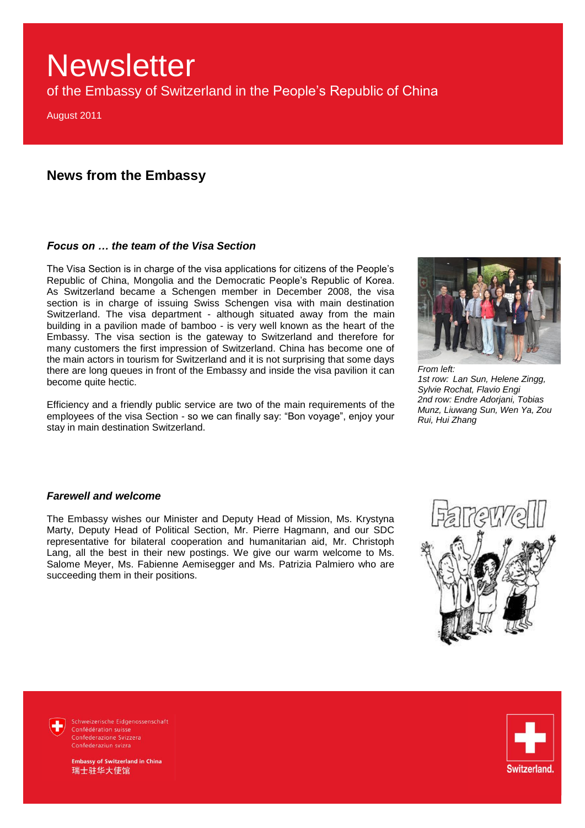of the Embassy of Switzerland in the People's Republic of China

August 2011

### **News from the Embassy**

### *Focus on … the team of the Visa Section*

The Visa Section is in charge of the visa applications for citizens of the People's Republic of China, Mongolia and the Democratic People's Republic of Korea. As Switzerland became a Schengen member in December 2008, the visa section is in charge of issuing Swiss Schengen visa with main destination Switzerland. The visa department - although situated away from the main building in a pavilion made of bamboo - is very well known as the heart of the Embassy. The visa section is the gateway to Switzerland and therefore for many customers the first impression of Switzerland. China has become one of the main actors in tourism for Switzerland and it is not surprising that some days there are long queues in front of the Embassy and inside the visa pavilion it can become quite hectic.

Efficiency and a friendly public service are two of the main requirements of the employees of the visa Section - so we can finally say: "Bon voyage", enjoy your stay in main destination Switzerland.



*From left: 1st row: Lan Sun, Helene Zingg, Sylvie Rochat, Flavio Engi 2nd row: Endre Adorjani, Tobias Munz, Liuwang Sun, Wen Ya, Zou Rui, Hui Zhang*

### *Farewell and welcome*

The Embassy wishes our Minister and Deputy Head of Mission, Ms. Krystyna Marty, Deputy Head of Political Section, Mr. Pierre Hagmann, and our SDC representative for bilateral cooperation and humanitarian aid, Mr. Christoph Lang, all the best in their new postings. We give our warm welcome to Ms. Salome Meyer, Ms. Fabienne Aemisegger and Ms. Patrizia Palmiero who are succeeding them in their positions.



Schweizerische Eidgenossenschaft Confédération suisse Confederazione Svizzera Confederaziun svizra